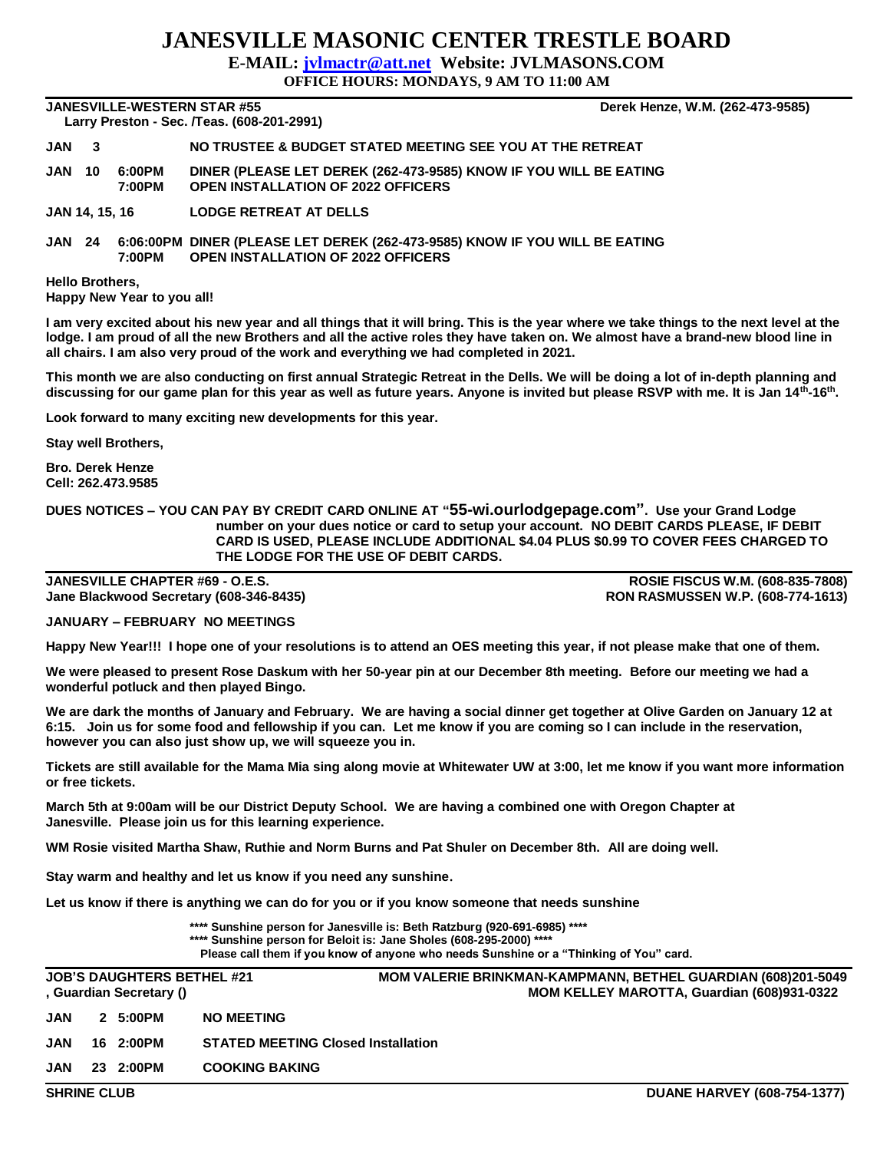## **JANESVILLE MASONIC CENTER TRESTLE BOARD**

**E-MAIL: [jvlmactr@att.net](mailto:jvlmactr@att.net) Website: JVLMASONS.COM**

**OFFICE HOURS: MONDAYS, 9 AM TO 11:00 AM**

**JANESVILLE-WESTERN STAR #55 Derek Henze, W.M. (262-473-9585) Larry Preston - Sec. /Teas. (608-201-2991)** 

**JAN 3 NO TRUSTEE & BUDGET STATED MEETING SEE YOU AT THE RETREAT**

**JAN 10 6:00PM DINER (PLEASE LET DEREK (262-473-9585) KNOW IF YOU WILL BE EATING 7:00PM OPEN INSTALLATION OF 2022 OFFICERS**

**JAN 14, 15, 16 LODGE RETREAT AT DELLS**

**JAN 24 6:06:00PM DINER (PLEASE LET DEREK (262-473-9585) KNOW IF YOU WILL BE EATING 7:00PM OPEN INSTALLATION OF 2022 OFFICERS**

**Hello Brothers, Happy New Year to you all!**

**I am very excited about his new year and all things that it will bring. This is the year where we take things to the next level at the lodge. I am proud of all the new Brothers and all the active roles they have taken on. We almost have a brand-new blood line in all chairs. I am also very proud of the work and everything we had completed in 2021.**

**This month we are also conducting on first annual Strategic Retreat in the Dells. We will be doing a lot of in-depth planning and discussing for our game plan for this year as well as future years. Anyone is invited but please RSVP with me. It is Jan 14th-16th .**

**Look forward to many exciting new developments for this year.**

**Stay well Brothers,**

**Bro. Derek Henze Cell: 262.473.9585**

**DUES NOTICES – YOU CAN PAY BY CREDIT CARD ONLINE AT "55-wi.ourlodgepage.com". Use your Grand Lodge number on your dues notice or card to setup your account. NO DEBIT CARDS PLEASE, IF DEBIT CARD IS USED, PLEASE INCLUDE ADDITIONAL \$4.04 PLUS \$0.99 TO COVER FEES CHARGED TO THE LODGE FOR THE USE OF DEBIT CARDS.**

**JANESVILLE CHAPTER #69 - O.E.S. ROSIE FISCUS W.M. (608-835-7808) Jane Blackwood Secretary (608-346-8435) RON RASMUSSEN W.P. (608-774-1613)**

**JANUARY – FEBRUARY NO MEETINGS**

**Happy New Year!!! I hope one of your resolutions is to attend an OES meeting this year, if not please make that one of them.**

**We were pleased to present Rose Daskum with her 50-year pin at our December 8th meeting. Before our meeting we had a wonderful potluck and then played Bingo.**

**We are dark the months of January and February. We are having a social dinner get together at Olive Garden on January 12 at 6:15. Join us for some food and fellowship if you can. Let me know if you are coming so I can include in the reservation, however you can also just show up, we will squeeze you in.**

**Tickets are still available for the Mama Mia sing along movie at Whitewater UW at 3:00, let me know if you want more information or free tickets.**

**March 5th at 9:00am will be our District Deputy School. We are having a combined one with Oregon Chapter at Janesville. Please join us for this learning experience.**

**WM Rosie visited Martha Shaw, Ruthie and Norm Burns and Pat Shuler on December 8th. All are doing well.**

**Stay warm and healthy and let us know if you need any sunshine**.

**Let us know if there is anything we can do for you or if you know someone that needs sunshine**

**\*\*\*\* Sunshine person for Janesville is: Beth Ratzburg (920-691-6985) \*\*\*\* \*\*\*\* Sunshine person for Beloit is: Jane Sholes (608-295-2000) \*\*\*\***

**Please call them if you know of anyone who needs Sunshine or a "Thinking of You" card.**

|                    | <b>JOB'S DAUGHTERS BETHEL #21</b><br>, Guardian Secretary () | <b>MOM VALERIE BRINKMAN-KAMPMANN, BETHEL GUARDIAN (608)201-5049</b><br>MOM KELLEY MAROTTA, Guardian (608)931-0322 |
|--------------------|--------------------------------------------------------------|-------------------------------------------------------------------------------------------------------------------|
| JAN                | 2 5:00PM                                                     | <b>NO MEETING</b>                                                                                                 |
| JAN                | 16 2:00PM                                                    | <b>STATED MEETING Closed Installation</b>                                                                         |
| JAN                | 23 2:00PM                                                    | <b>COOKING BAKING</b>                                                                                             |
| <b>SHRINE CLUB</b> |                                                              | <b>DUANE HARVEY (608-754-1377)</b>                                                                                |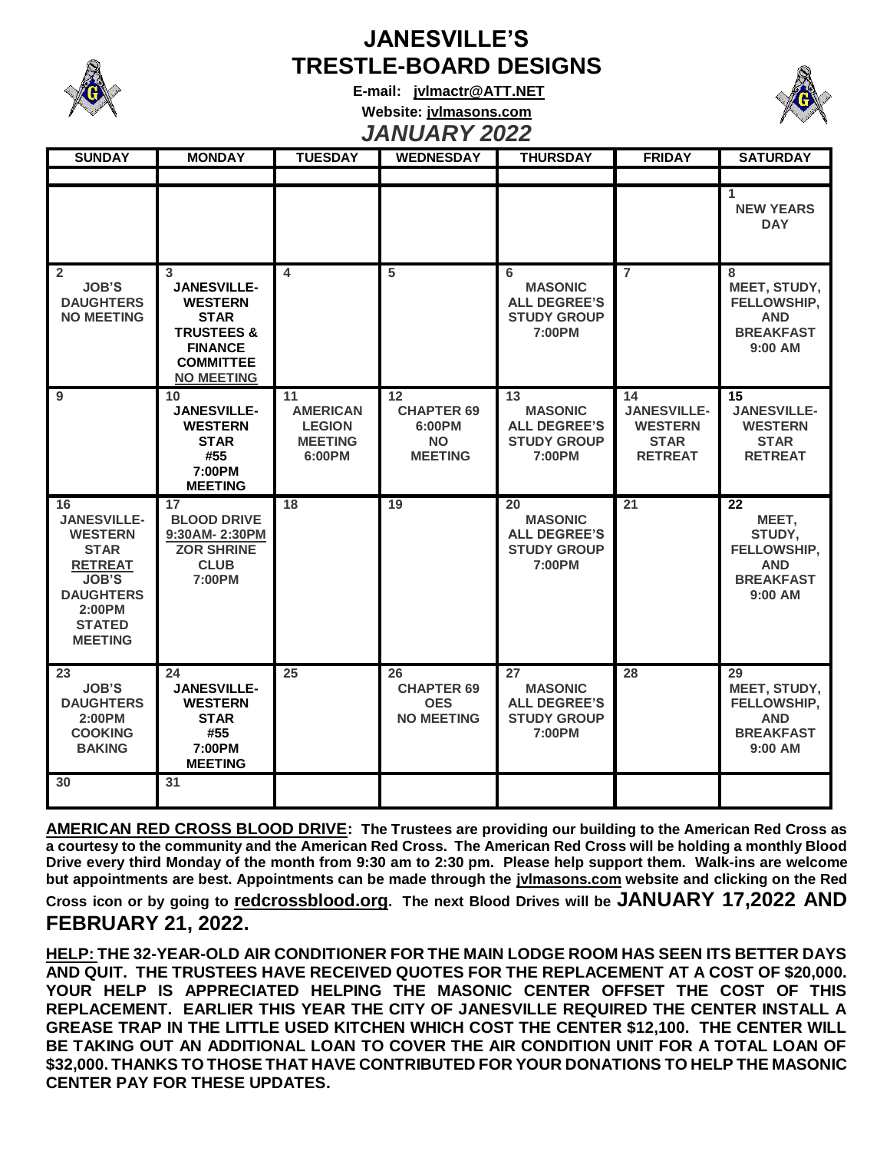

## **JANESVILLE'S TRESTLE-BOARD DESIGNS**

**E-mail: [jvlmactr@ATT.NET](mailto:jvlmactr@ATT.NET) Website: jvlmasons.com** *JANUARY 2022*



| <b>SUNDAY</b>                                                                                                                                                | <b>MONDAY</b>                                                                                                                                | <b>TUESDAY</b>                                                     | <b>WEDNESDAY</b>                                                 | <b>THURSDAY</b>                                                             | <b>FRIDAY</b>                                                               | <b>SATURDAY</b>                                                                          |
|--------------------------------------------------------------------------------------------------------------------------------------------------------------|----------------------------------------------------------------------------------------------------------------------------------------------|--------------------------------------------------------------------|------------------------------------------------------------------|-----------------------------------------------------------------------------|-----------------------------------------------------------------------------|------------------------------------------------------------------------------------------|
|                                                                                                                                                              |                                                                                                                                              |                                                                    |                                                                  |                                                                             |                                                                             |                                                                                          |
|                                                                                                                                                              |                                                                                                                                              |                                                                    |                                                                  |                                                                             |                                                                             | 1<br><b>NEW YEARS</b><br><b>DAY</b>                                                      |
| $\overline{2}$<br><b>JOB'S</b><br><b>DAUGHTERS</b><br><b>NO MEETING</b>                                                                                      | 3<br><b>JANESVILLE-</b><br><b>WESTERN</b><br><b>STAR</b><br><b>TRUSTEES &amp;</b><br><b>FINANCE</b><br><b>COMMITTEE</b><br><b>NO MEETING</b> | 4                                                                  | $\overline{5}$                                                   | 6<br><b>MASONIC</b><br><b>ALL DEGREE'S</b><br><b>STUDY GROUP</b><br>7:00PM  | $\overline{7}$                                                              | 8<br>MEET, STUDY,<br>FELLOWSHIP,<br><b>AND</b><br><b>BREAKFAST</b><br>$9:00$ AM          |
| 9                                                                                                                                                            | 10<br><b>JANESVILLE-</b><br><b>WESTERN</b><br><b>STAR</b><br>#55<br>7:00PM<br><b>MEETING</b>                                                 | 11<br><b>AMERICAN</b><br><b>LEGION</b><br><b>MEETING</b><br>6:00PM | 12<br><b>CHAPTER 69</b><br>6:00PM<br><b>NO</b><br><b>MEETING</b> | 13<br><b>MASONIC</b><br><b>ALL DEGREE'S</b><br><b>STUDY GROUP</b><br>7:00PM | 14<br><b>JANESVILLE-</b><br><b>WESTERN</b><br><b>STAR</b><br><b>RETREAT</b> | $\overline{15}$<br><b>JANESVILLE-</b><br><b>WESTERN</b><br><b>STAR</b><br><b>RETREAT</b> |
| 16<br><b>JANESVILLE-</b><br><b>WESTERN</b><br><b>STAR</b><br><b>RETREAT</b><br><b>JOB'S</b><br><b>DAUGHTERS</b><br>2:00PM<br><b>STATED</b><br><b>MEETING</b> | 17<br><b>BLOOD DRIVE</b><br>9:30AM-2:30PM<br><b>ZOR SHRINE</b><br><b>CLUB</b><br>7:00PM                                                      | 18                                                                 | 19                                                               | 20<br><b>MASONIC</b><br><b>ALL DEGREE'S</b><br><b>STUDY GROUP</b><br>7:00PM | 21                                                                          | 22<br>MEET,<br>STUDY,<br>FELLOWSHIP,<br><b>AND</b><br><b>BREAKFAST</b><br>$9:00$ AM      |
| 23<br><b>JOB'S</b><br><b>DAUGHTERS</b><br>2:00PM<br><b>COOKING</b><br><b>BAKING</b>                                                                          | 24<br><b>JANESVILLE-</b><br><b>WESTERN</b><br><b>STAR</b><br>#55<br>7:00PM<br><b>MEETING</b>                                                 | 25                                                                 | 26<br><b>CHAPTER 69</b><br><b>OES</b><br><b>NO MEETING</b>       | 27<br><b>MASONIC</b><br><b>ALL DEGREE'S</b><br><b>STUDY GROUP</b><br>7:00PM | 28                                                                          | 29<br>MEET, STUDY,<br>FELLOWSHIP,<br><b>AND</b><br><b>BREAKFAST</b><br>9:00 AM           |
| 30                                                                                                                                                           | 31                                                                                                                                           |                                                                    |                                                                  |                                                                             |                                                                             |                                                                                          |

**AMERICAN RED CROSS BLOOD DRIVE: The Trustees are providing our building to the American Red Cross as a courtesy to the community and the American Red Cross. The American Red Cross will be holding a monthly Blood Drive every third Monday of the month from 9:30 am to 2:30 pm. Please help support them. Walk-ins are welcome but appointments are best. Appointments can be made through the jvlmasons.com website and clicking on the Red Cross icon or by going to redcrossblood.org. The next Blood Drives will be JANUARY 17,2022 AND FEBRUARY 21, 2022.** 

**HELP: THE 32-YEAR-OLD AIR CONDITIONER FOR THE MAIN LODGE ROOM HAS SEEN ITS BETTER DAYS AND QUIT. THE TRUSTEES HAVE RECEIVED QUOTES FOR THE REPLACEMENT AT A COST OF \$20,000. YOUR HELP IS APPRECIATED HELPING THE MASONIC CENTER OFFSET THE COST OF THIS REPLACEMENT. EARLIER THIS YEAR THE CITY OF JANESVILLE REQUIRED THE CENTER INSTALL A GREASE TRAP IN THE LITTLE USED KITCHEN WHICH COST THE CENTER \$12,100. THE CENTER WILL BE TAKING OUT AN ADDITIONAL LOAN TO COVER THE AIR CONDITION UNIT FOR A TOTAL LOAN OF \$32,000. THANKS TO THOSE THAT HAVE CONTRIBUTED FOR YOUR DONATIONS TO HELP THE MASONIC CENTER PAY FOR THESE UPDATES.**